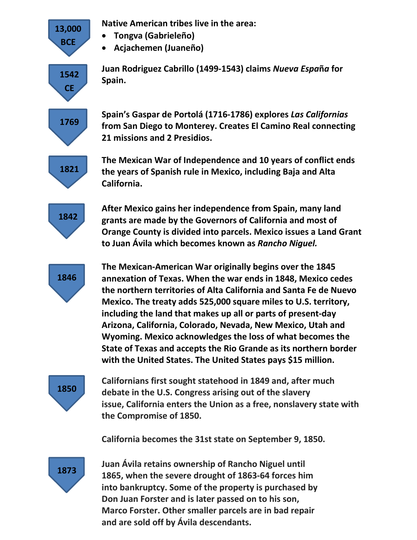**Native American tribes live in the area:**

- **Tongva (Gabrieleño)**
- **Acjachemen (Juaneño)**

**Juan Rodriguez Cabrillo (1499-1543) claims** *Nueva Espa***ñ***a* **for Spain.**

**Spain's Gaspar de Portolá (1716-1786) explores** *Las Californias* **from San Diego to Monterey. Creates El Camino Real connecting 21 missions and 2 Presidios.**

**1821**

**13,000 BCE**

> **1542 CE**

**1769**

**The Mexican War of Independence and 10 years of conflict ends the years of Spanish rule in Mexico, including Baja and Alta California.**

**1842**

**After Mexico gains her independence from Spain, many land grants are made by the Governors of California and most of Orange County is divided into parcels. Mexico issues a Land Grant to Juan Ávila which becomes known as** *Rancho Niguel.*

**1846**

**The Mexican-American War originally begins over the 1845 annexation of Texas. When the war ends in 1848, Mexico cedes the northern territories of Alta California and Santa Fe de Nuevo Mexico. The treaty adds 525,000 square miles to U.S. territory, including the land that makes up all or parts of present-day Arizona, California, Colorado, Nevada, New Mexico, Utah and Wyoming. Mexico acknowledges the loss of what becomes the State of Texas and accepts the Rio Grande as its northern border with the United States. The United States pays \$15 million.**

**1850**

**Californians first sought statehood in 1849 and, after much debate in the U.S. Congress arising out of the slavery issue, California enters the Union as a free, nonslavery state with the Compromise of 1850.**

**California becomes the 31st state on September 9, 1850.**

**1873**

**Juan Ávila retains ownership of Rancho Niguel until 1865, when the severe drought of 1863-64 forces him into bankruptcy. Some of the property is purchased by Don Juan Forster and is later passed on to his son, Marco Forster. Other smaller parcels are in bad repair and are sold off by Ávila descendants.**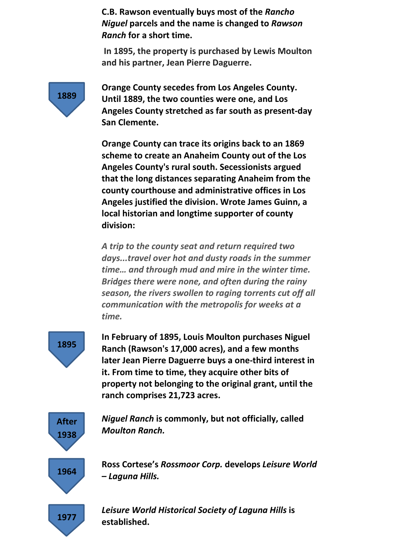**C.B. Rawson eventually buys most of the** *Rancho Niguel* **parcels and the name is changed to** *Rawson Ranch* **for a short time.** 

**In 1895, the property is purchased by Lewis Moulton and his partner, Jean Pierre Daguerre.**

**1889**

**Orange County secedes from Los Angeles County. Until 1889, the two counties were one, and Los Angeles County stretched as far south as present-day San Clemente.**

**Orange County can trace its origins back to an 1869 scheme to create an Anaheim County out of the Los Angeles County's rural south. Secessionists argued that the long distances separating Anaheim from the county courthouse and administrative offices in Los Angeles justified the division. Wrote James Guinn, a local historian and longtime supporter of county division:**

*A trip to the county seat and return required two days...travel over hot and dusty roads in the summer time… and through mud and mire in the winter time. Bridges there were none, and often during the rainy season, the rivers swollen to raging torrents cut off all communication with the metropolis for weeks at a time.* 



**In February of 1895, Louis Moulton purchases Niguel Ranch (Rawson's 17,000 acres), and a few months later Jean Pierre Daguerre buys a one-third interest in it. From time to time, they acquire other bits of property not belonging to the original grant, until the ranch comprises 21,723 acres.**



*Niguel Ranch* **is commonly, but not officially, called**  *Moulton Ranch.*

**Ross Cortese's** *Rossmoor Corp.* **develops** *Leisure World – Laguna Hills.*

**1977**

*Leisure World Historical Society of Laguna Hills* **is established.**